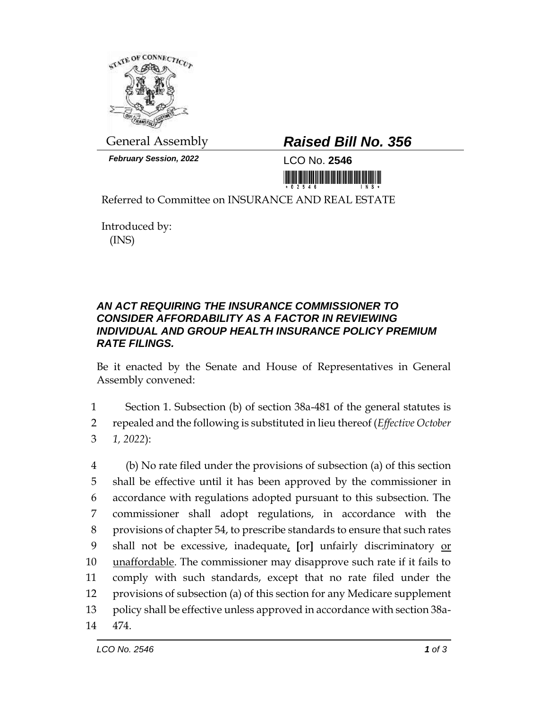

*February Session, 2022* LCO No. **2546**

## General Assembly *Raised Bill No. 356*

<u> III Million Maria Maria Maria Maria Maria Maria Maria Maria Maria Maria Maria Maria Maria Maria Maria Maria M</u>

Referred to Committee on INSURANCE AND REAL ESTATE

Introduced by: (INS)

## *AN ACT REQUIRING THE INSURANCE COMMISSIONER TO CONSIDER AFFORDABILITY AS A FACTOR IN REVIEWING INDIVIDUAL AND GROUP HEALTH INSURANCE POLICY PREMIUM RATE FILINGS.*

Be it enacted by the Senate and House of Representatives in General Assembly convened:

1 Section 1. Subsection (b) of section 38a-481 of the general statutes is 2 repealed and the following is substituted in lieu thereof (*Effective October*  3 *1, 2022*):

 (b) No rate filed under the provisions of subsection (a) of this section shall be effective until it has been approved by the commissioner in accordance with regulations adopted pursuant to this subsection. The commissioner shall adopt regulations, in accordance with the provisions of chapter 54, to prescribe standards to ensure that such rates shall not be excessive, inadequate, **[**or**]** unfairly discriminatory or unaffordable. The commissioner may disapprove such rate if it fails to comply with such standards, except that no rate filed under the provisions of subsection (a) of this section for any Medicare supplement policy shall be effective unless approved in accordance with section 38a-14 474.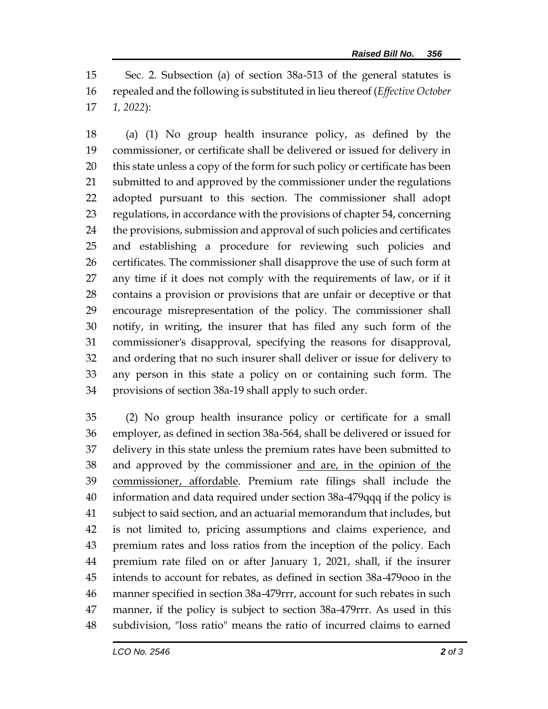Sec. 2. Subsection (a) of section 38a-513 of the general statutes is repealed and the following is substituted in lieu thereof (*Effective October 1, 2022*):

 (a) (1) No group health insurance policy, as defined by the commissioner, or certificate shall be delivered or issued for delivery in this state unless a copy of the form for such policy or certificate has been submitted to and approved by the commissioner under the regulations adopted pursuant to this section. The commissioner shall adopt regulations, in accordance with the provisions of chapter 54, concerning the provisions, submission and approval of such policies and certificates and establishing a procedure for reviewing such policies and certificates. The commissioner shall disapprove the use of such form at any time if it does not comply with the requirements of law, or if it contains a provision or provisions that are unfair or deceptive or that encourage misrepresentation of the policy. The commissioner shall notify, in writing, the insurer that has filed any such form of the commissioner's disapproval, specifying the reasons for disapproval, and ordering that no such insurer shall deliver or issue for delivery to any person in this state a policy on or containing such form. The provisions of section 38a-19 shall apply to such order.

 (2) No group health insurance policy or certificate for a small employer, as defined in section 38a-564, shall be delivered or issued for delivery in this state unless the premium rates have been submitted to and approved by the commissioner and are, in the opinion of the commissioner, affordable. Premium rate filings shall include the information and data required under section 38a-479qqq if the policy is subject to said section, and an actuarial memorandum that includes, but is not limited to, pricing assumptions and claims experience, and premium rates and loss ratios from the inception of the policy. Each premium rate filed on or after January 1, 2021, shall, if the insurer intends to account for rebates, as defined in section 38a-479ooo in the manner specified in section 38a-479rrr, account for such rebates in such manner, if the policy is subject to section 38a-479rrr. As used in this subdivision, "loss ratio" means the ratio of incurred claims to earned